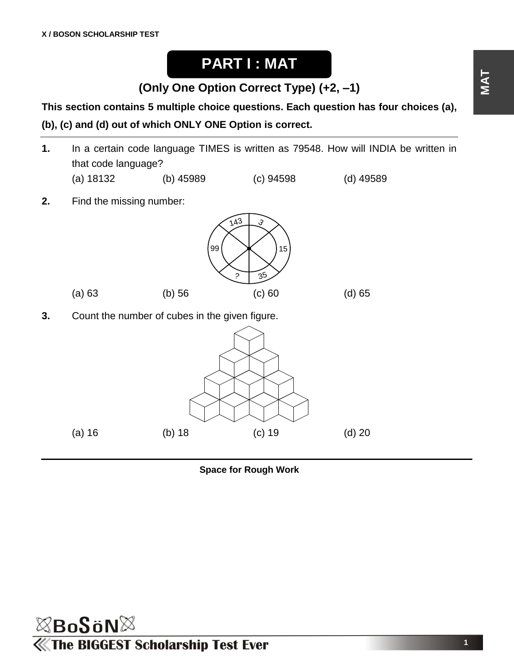## **PART I : MAT**

**(Only One Option Correct Type) (+2, –1)**

**This section contains 5 multiple choice questions. Each question has four choices (a), (b), (c) and (d) out of which ONLY ONE Option is correct.**

- **1.** In a certain code language TIMES is written as 79548. How will INDIA be written in that code language? (a) 18132 (b) 45989 (c) 94598 (d) 49589 **2.** Find the missing number:  $143$ 15 35 99 (a) 63 (b) 56 (c) 60 (d) 65
- **3.** Count the number of cubes in the given figure.





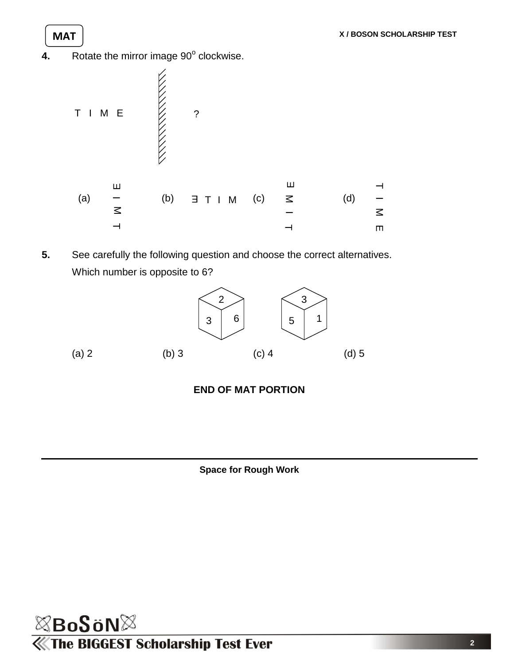4. Rotate the mirror image 90° clockwise.



**5.** See carefully the following question and choose the correct alternatives. Which number is opposite to 6?







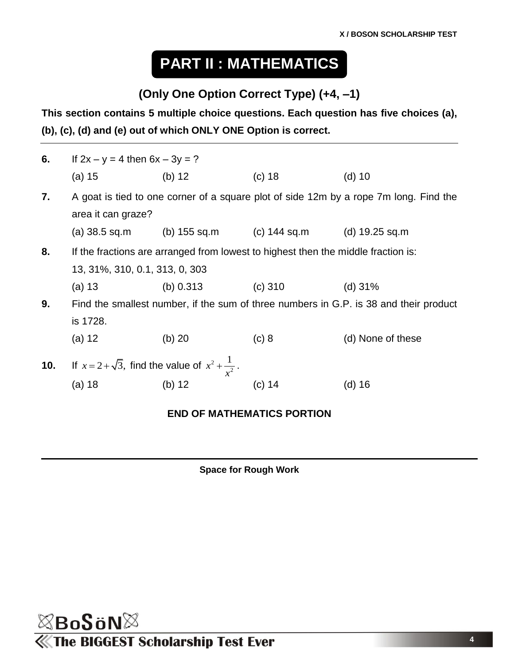# **PART II : MATHEMATICS**

## **(Only One Option Correct Type) (+4, –1)**

**This section contains 5 multiple choice questions. Each question has five choices (a), (b), (c), (d) and (e) out of which ONLY ONE Option is correct.**

| 6.  | If $2x - y = 4$ then $6x - 3y = ?$                                                                                  |                                                                |           |                   |  |  |  |
|-----|---------------------------------------------------------------------------------------------------------------------|----------------------------------------------------------------|-----------|-------------------|--|--|--|
|     | (a) 15                                                                                                              | (b) $12$                                                       | $(c)$ 18  | $(d)$ 10          |  |  |  |
| 7.  | A goat is tied to one corner of a square plot of side 12m by a rope 7m long. Find the<br>area it can graze?         |                                                                |           |                   |  |  |  |
|     |                                                                                                                     | (a) $38.5$ sq.m (b) $155$ sq.m (c) $144$ sq.m (d) $19.25$ sq.m |           |                   |  |  |  |
| 8.  | If the fractions are arranged from lowest to highest then the middle fraction is:<br>13, 31%, 310, 0.1, 313, 0, 303 |                                                                |           |                   |  |  |  |
|     | (a) 13                                                                                                              | (b) 0.313                                                      | $(c)$ 310 | $(d)$ 31%         |  |  |  |
| 9.  | Find the smallest number, if the sum of three numbers in G.P. is 38 and their product<br>is 1728.                   |                                                                |           |                   |  |  |  |
|     | (a) 12                                                                                                              | $(b)$ 20                                                       | (c) 8     | (d) None of these |  |  |  |
| 10. | If $x = 2 + \sqrt{3}$ , find the value of $x^2 + \frac{1}{x^2}$ .                                                   |                                                                |           |                   |  |  |  |
|     | (a) 18                                                                                                              | (b) 12                                                         | (c) 14    | (d) 16            |  |  |  |
|     |                                                                                                                     |                                                                |           |                   |  |  |  |

#### **END OF MATHEMATICS PORTION**

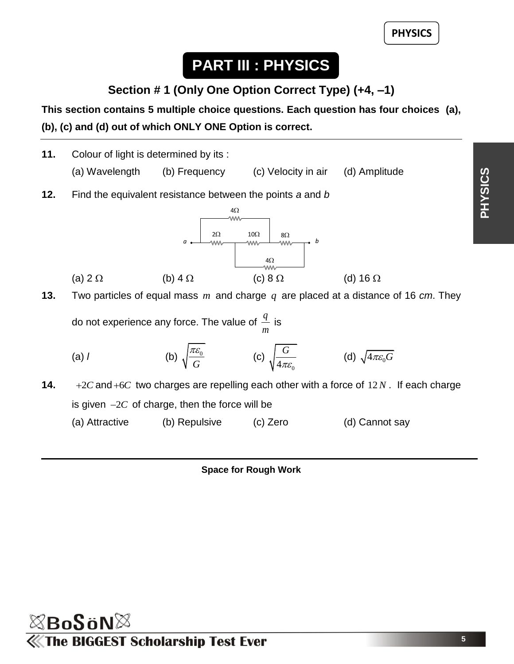**5**

**PHYSICS**

## **PART III : PHYSICS**

**Section # 1 (Only One Option Correct Type) (+4, –1)**

**This section contains 5 multiple choice questions. Each question has four choices (a), (b), (c) and (d) out of which ONLY ONE Option is correct.**



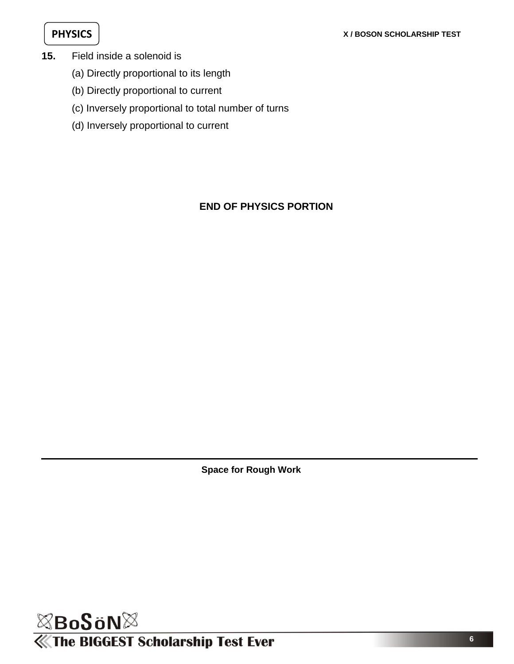- **15.** Field inside a solenoid is
	- (a) Directly proportional to its length
	- (b) Directly proportional to current
	- (c) Inversely proportional to total number of turns
	- (d) Inversely proportional to current

### **END OF PHYSICS PORTION**

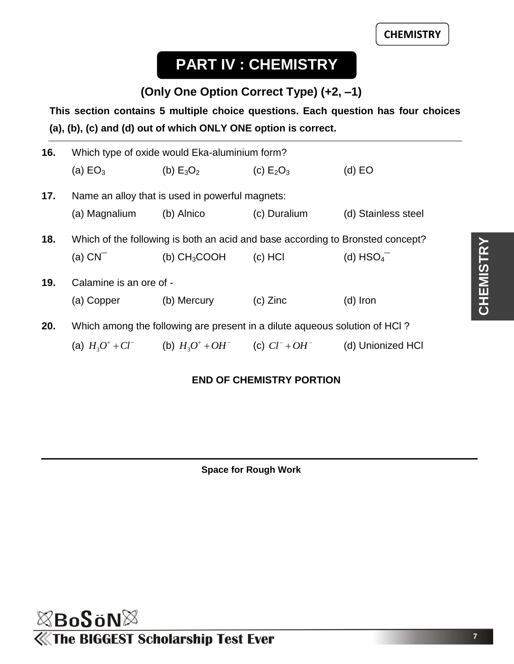# **PART IV : CHEMISTRY**

## **(Only One Option Correct Type) (+2, –1)**

**This section contains 5 multiple choice questions. Each question has four choices (a), (b), (c) and (d) out of which ONLY ONE option is correct.**

| 16. | Which type of oxide would Eka-aluminium form?                                  |                                                           |              |                         |  |  |  |
|-----|--------------------------------------------------------------------------------|-----------------------------------------------------------|--------------|-------------------------|--|--|--|
|     | (a) $EO3$                                                                      | (b) $E_3O_2$                                              | (c) $E_2O_3$ | $(d)$ EO                |  |  |  |
| 17. | Name an alloy that is used in powerful magnets:                                |                                                           |              |                         |  |  |  |
|     | (a) Magnalium                                                                  | (b) Alnico                                                | (c) Duralium | (d) Stainless steel     |  |  |  |
| 18. | Which of the following is both an acid and base according to Bronsted concept? |                                                           |              |                         |  |  |  |
|     | $(a)$ $CN^-$                                                                   | (b) $CH_3COOH$                                            | $(c)$ HCI    | (d) $HSO4$ <sup>-</sup> |  |  |  |
| 19. | Calamine is an ore of -                                                        |                                                           |              |                         |  |  |  |
|     | (a) Copper (b) Mercury                                                         |                                                           | $(c)$ Zinc   | $(d)$ Iron              |  |  |  |
| 20. | Which among the following are present in a dilute aqueous solution of HCI?     |                                                           |              |                         |  |  |  |
|     |                                                                                | (a) $H_3O^+ + Cl^-$ (b) $H_3O^+ + OH^-$ (c) $Cl^- + OH^-$ |              | (d) Unionized HCI       |  |  |  |

#### **END OF CHEMISTRY PORTION**